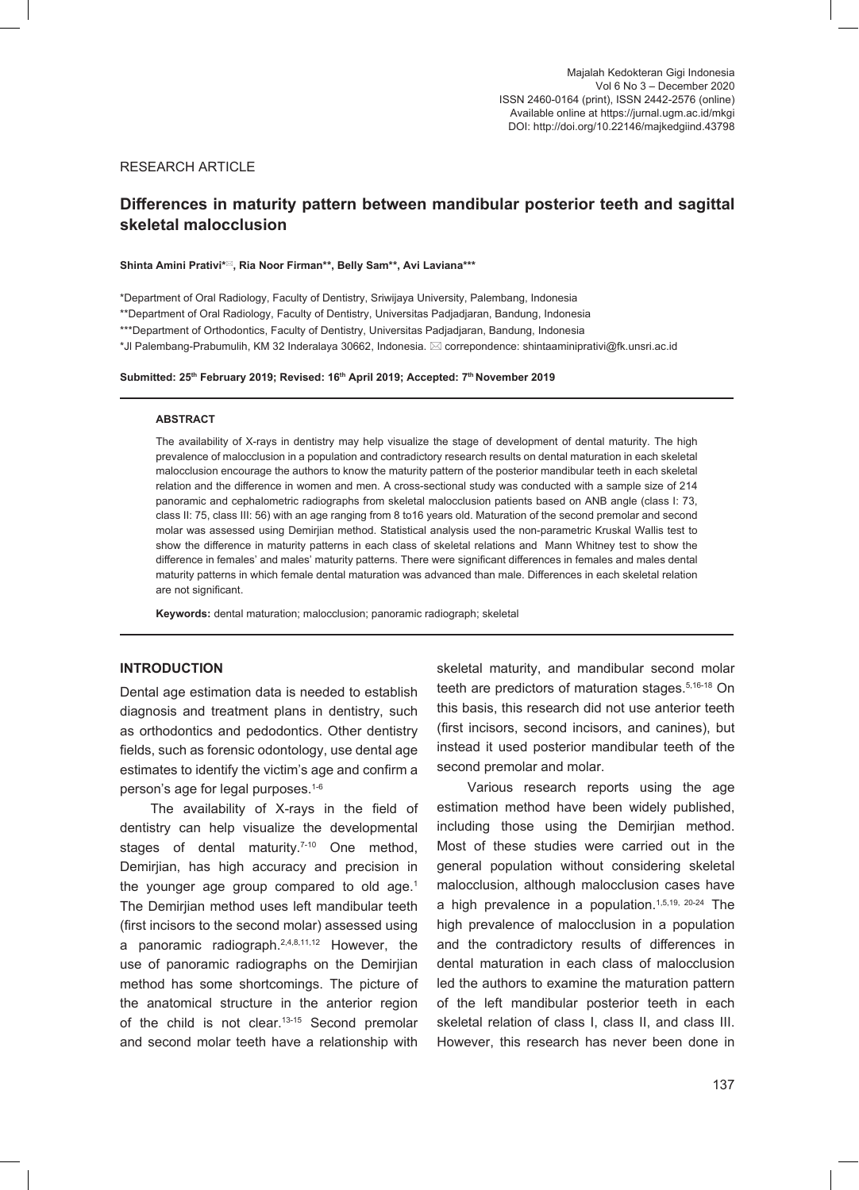# RESEARCH ARTICLE

# **Differences in maturity pattern between mandibular posterior teeth and sagittal skeletal malocclusion**

#### **Shinta Amini Prativi\*, Ria Noor Firman\*\*, Belly Sam\*\*, Avi Laviana\*\*\***

\*Department of Oral Radiology, Faculty of Dentistry, Sriwijaya University, Palembang, Indonesia

\*\*Department of Oral Radiology, Faculty of Dentistry, Universitas Padjadjaran, Bandung, Indonesia

\*\*\*Department of Orthodontics, Faculty of Dentistry, Universitas Padjadjaran, Bandung, Indonesia

\*Jl Palembang-Prabumulih, KM 32 Inderalaya 30662, Indonesia. correpondence: shintaaminiprativi@fk.unsri.ac.id

### Submitted: 25<sup>th</sup> February 2019; Revised: 16<sup>th</sup> April 2019; Accepted: 7<sup>th</sup> November 2019

#### **ABSTRACT**

The availability of X-rays in dentistry may help visualize the stage of development of dental maturity. The high prevalence of malocclusion in a population and contradictory research results on dental maturation in each skeletal malocclusion encourage the authors to know the maturity pattern of the posterior mandibular teeth in each skeletal relation and the difference in women and men. A cross-sectional study was conducted with a sample size of 214 panoramic and cephalometric radiographs from skeletal malocclusion patients based on ANB angle (class I: 73, class II: 75, class III: 56) with an age ranging from 8 to16 years old. Maturation of the second premolar and second molar was assessed using Demirjian method. Statistical analysis used the non-parametric Kruskal Wallis test to show the difference in maturity patterns in each class of skeletal relations and Mann Whitney test to show the difference in females' and males' maturity patterns. There were significant differences in females and males dental maturity patterns in which female dental maturation was advanced than male. Differences in each skeletal relation are not significant.

**Keywords:** dental maturation; malocclusion; panoramic radiograph; skeletal

### **INTRODUCTION**

Dental age estimation data is needed to establish diagnosis and treatment plans in dentistry, such as orthodontics and pedodontics. Other dentistry fields, such as forensic odontology, use dental age estimates to identify the victim's age and confirm a person's age for legal purposes.1-6

The availability of X-rays in the field of dentistry can help visualize the developmental stages of dental maturity.<sup>7-10</sup> One method, Demirjian, has high accuracy and precision in the younger age group compared to old age. $1$ The Demirjian method uses left mandibular teeth (first incisors to the second molar) assessed using a panoramic radiograph.<sup>2,4,8,11,12</sup> However, the use of panoramic radiographs on the Demirjian method has some shortcomings. The picture of the anatomical structure in the anterior region of the child is not clear.13-15 Second premolar and second molar teeth have a relationship with

skeletal maturity, and mandibular second molar teeth are predictors of maturation stages.<sup>5,16-18</sup> On this basis, this research did not use anterior teeth (first incisors, second incisors, and canines), but instead it used posterior mandibular teeth of the second premolar and molar.

Various research reports using the age estimation method have been widely published, including those using the Demirjian method. Most of these studies were carried out in the general population without considering skeletal malocclusion, although malocclusion cases have a high prevalence in a population.<sup>1,5,19, 20-24</sup> The high prevalence of malocclusion in a population and the contradictory results of differences in dental maturation in each class of malocclusion led the authors to examine the maturation pattern of the left mandibular posterior teeth in each skeletal relation of class I, class II, and class III. However, this research has never been done in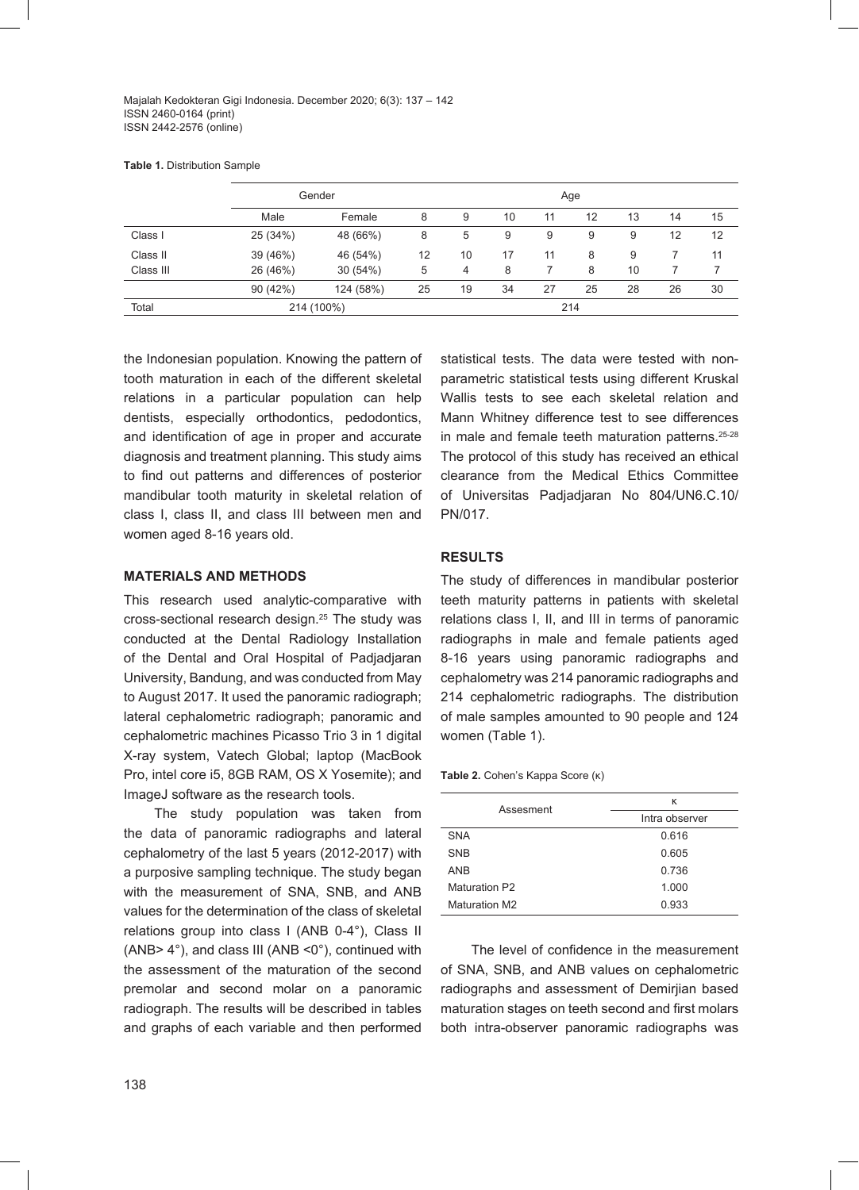Majalah Kedokteran Gigi Indonesia. December 2020; 6(3): 137 – 142 ISSN 2460-0164 (print) ISSN 2442-2576 (online)

**Table 1.** Distribution Sample

|           | Gender     |           |    | Age |    |    |    |    |    |    |
|-----------|------------|-----------|----|-----|----|----|----|----|----|----|
|           | Male       | Female    | 8  | 9   | 10 | 11 | 12 | 13 | 14 | 15 |
| Class I   | 25 (34%)   | 48 (66%)  | 8  | 5   | 9  | 9  | 9  | 9  | 12 | 12 |
| Class II  | 39 (46%)   | 46 (54%)  | 12 | 10  | 17 | 11 | 8  | 9  |    | 11 |
| Class III | 26 (46%)   | 30 (54%)  | 5  | 4   | 8  |    | 8  | 10 |    |    |
|           | 90 (42%)   | 124 (58%) | 25 | 19  | 34 | 27 | 25 | 28 | 26 | 30 |
| Total     | 214 (100%) |           |    | 214 |    |    |    |    |    |    |

the Indonesian population. Knowing the pattern of tooth maturation in each of the different skeletal relations in a particular population can help dentists, especially orthodontics, pedodontics, and identification of age in proper and accurate diagnosis and treatment planning. This study aims to find out patterns and differences of posterior mandibular tooth maturity in skeletal relation of class I, class II, and class III between men and women aged 8-16 years old.

# **MATERIALS AND METHODS**

This research used analytic-comparative with cross-sectional research design.25 The study was conducted at the Dental Radiology Installation of the Dental and Oral Hospital of Padjadjaran University, Bandung, and was conducted from May to August 2017. It used the panoramic radiograph; lateral cephalometric radiograph; panoramic and cephalometric machines Picasso Trio 3 in 1 digital X-ray system, Vatech Global; laptop (MacBook Pro, intel core i5, 8GB RAM, OS X Yosemite); and ImageJ software as the research tools.

The study population was taken from the data of panoramic radiographs and lateral cephalometry of the last 5 years (2012-2017) with a purposive sampling technique. The study began with the measurement of SNA, SNB, and ANB values for the determination of the class of skeletal relations group into class I (ANB 0-4°), Class II (ANB> 4°), and class III (ANB <0°), continued with the assessment of the maturation of the second premolar and second molar on a panoramic radiograph. The results will be described in tables and graphs of each variable and then performed

statistical tests. The data were tested with nonparametric statistical tests using different Kruskal Wallis tests to see each skeletal relation and Mann Whitney difference test to see differences in male and female teeth maturation patterns.<sup>25-28</sup> The protocol of this study has received an ethical clearance from the Medical Ethics Committee of Universitas Padjadjaran No 804/UN6.C.10/ PN/017.

# **RESULTS**

The study of differences in mandibular posterior teeth maturity patterns in patients with skeletal relations class I, II, and III in terms of panoramic radiographs in male and female patients aged 8-16 years using panoramic radiographs and cephalometry was 214 panoramic radiographs and 214 cephalometric radiographs. The distribution of male samples amounted to 90 people and 124 women (Table 1).

| Assesment            | ĸ              |  |  |  |  |
|----------------------|----------------|--|--|--|--|
|                      | Intra observer |  |  |  |  |
| <b>SNA</b>           | 0.616          |  |  |  |  |
| <b>SNB</b>           | 0.605          |  |  |  |  |
| <b>ANB</b>           | 0.736          |  |  |  |  |
| Maturation P2        | 1.000          |  |  |  |  |
| <b>Maturation M2</b> | 0.933          |  |  |  |  |

The level of confidence in the measurement of SNA, SNB, and ANB values on cephalometric radiographs and assessment of Demirjian based maturation stages on teeth second and first molars both intra-observer panoramic radiographs was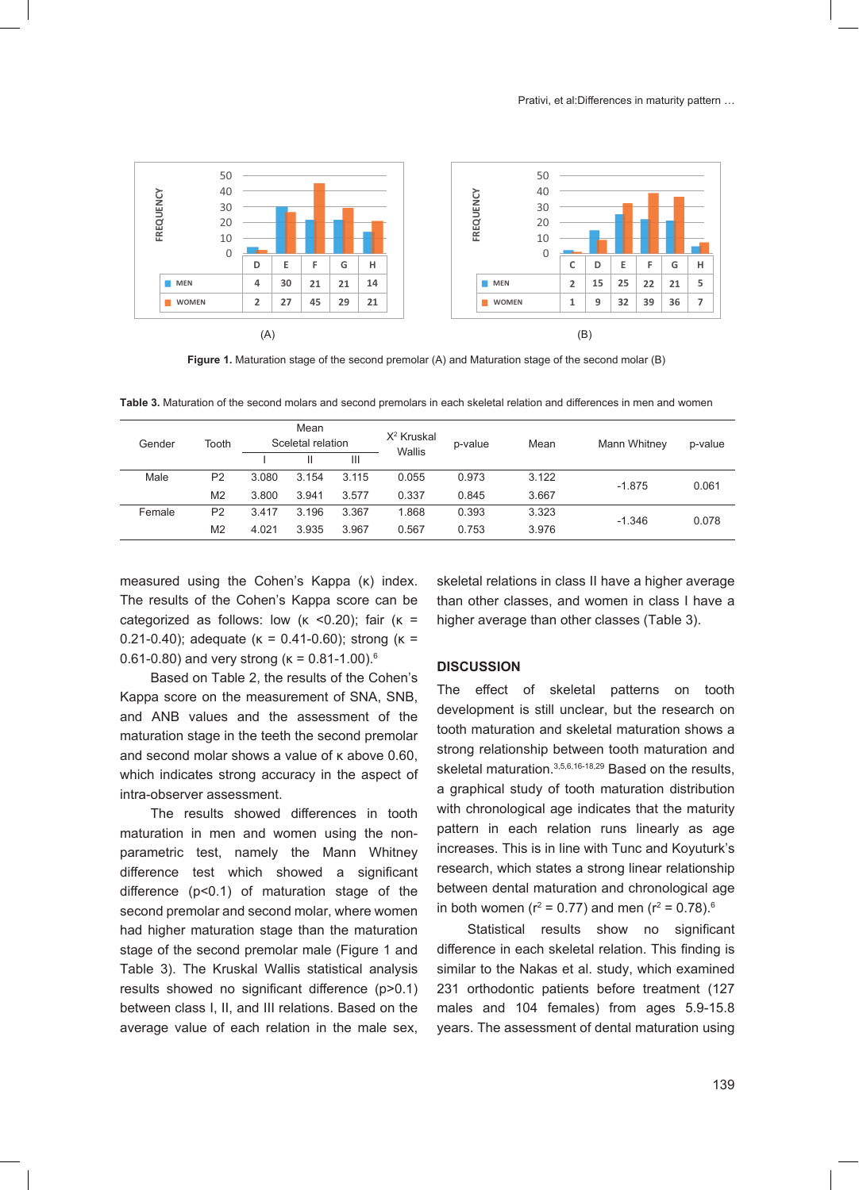

**Figure 1.** Maturation stage of the second premolar (A) and Maturation stage of the second molar (B)

**Table 3.** Maturation of the second molars and second premolars in each skeletal relation and differences in men and women

| Gender | Tooth          | Mean<br>Sceletal relation |       | $X^2$ Kruskal<br>Wallis | p-value | Mean  | Mann Whitney | p-value  |       |
|--------|----------------|---------------------------|-------|-------------------------|---------|-------|--------------|----------|-------|
|        |                |                           | Ш     | Ш                       |         |       |              |          |       |
| Male   | P <sub>2</sub> | 3.080                     | 3.154 | 3.115                   | 0.055   | 0.973 | 3.122        | $-1.875$ | 0.061 |
|        | M <sub>2</sub> | 3.800                     | 3.941 | 3.577                   | 0.337   | 0.845 | 3.667        |          |       |
| Female | P <sub>2</sub> | 3.417                     | 3.196 | 3.367                   | 1.868   | 0.393 | 3.323        | $-1.346$ | 0.078 |
|        | M <sub>2</sub> | 4.021                     | 3.935 | 3.967                   | 0.567   | 0.753 | 3.976        |          |       |

measured using the Cohen's Kappa (κ) index. The results of the Cohen's Kappa score can be categorized as follows: low  $(k \le 0.20)$ ; fair  $(k =$ 0.21-0.40); adequate (κ = 0.41-0.60); strong (κ = 0.61-0.80) and very strong ( $\kappa = 0.81$ -1.00).<sup>6</sup>

Based on Table 2, the results of the Cohen's Kappa score on the measurement of SNA, SNB, and ANB values and the assessment of the maturation stage in the teeth the second premolar and second molar shows a value of κ above 0.60, which indicates strong accuracy in the aspect of intra-observer assessment.

The results showed differences in tooth maturation in men and women using the nonparametric test, namely the Mann Whitney difference test which showed a significant difference (p<0.1) of maturation stage of the second premolar and second molar, where women had higher maturation stage than the maturation stage of the second premolar male (Figure 1 and Table 3). The Kruskal Wallis statistical analysis results showed no significant difference (p>0.1) between class I, II, and III relations. Based on the average value of each relation in the male sex,

skeletal relations in class II have a higher average than other classes, and women in class I have a higher average than other classes (Table 3).

# **DISCUSSION**

The effect of skeletal patterns on tooth development is still unclear, but the research on tooth maturation and skeletal maturation shows a strong relationship between tooth maturation and skeletal maturation.<sup>3,5,6,16-18,29</sup> Based on the results, a graphical study of tooth maturation distribution with chronological age indicates that the maturity pattern in each relation runs linearly as age increases. This is in line with Tunc and Koyuturk's research, which states a strong linear relationship between dental maturation and chronological age in both women (r<sup>2</sup> = 0.77) and men (r<sup>2</sup> = 0.78).<sup>6</sup>

Statistical results show no significant difference in each skeletal relation. This finding is similar to the Nakas et al. study, which examined 231 orthodontic patients before treatment (127 males and 104 females) from ages 5.9-15.8 years. The assessment of dental maturation using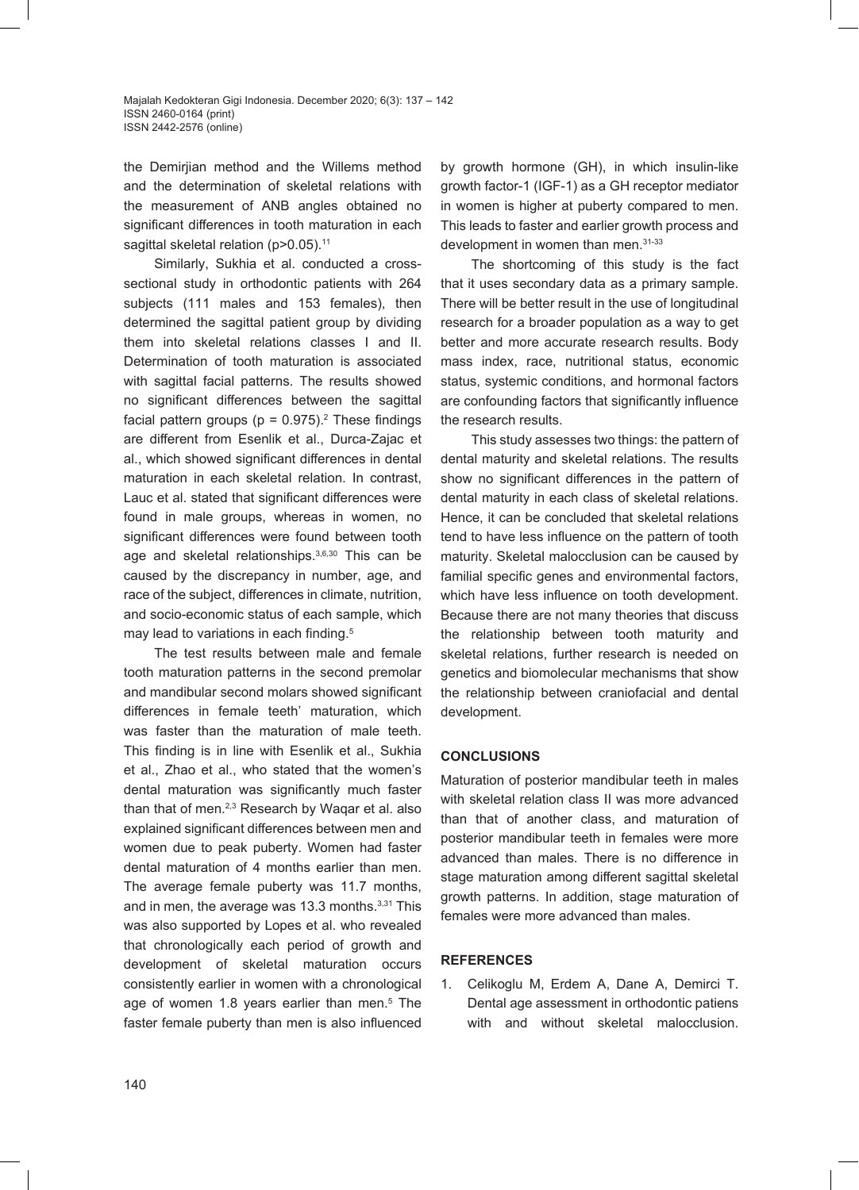the Demirjian method and the Willems method and the determination of skeletal relations with the measurement of ANB angles obtained no significant differences in tooth maturation in each sagittal skeletal relation (p>0.05).<sup>11</sup>

Similarly, Sukhia et al. conducted a crosssectional study in orthodontic patients with 264 subjects (111 males and 153 females), then determined the sagittal patient group by dividing them into skeletal relations classes I and II. Determination of tooth maturation is associated with sagittal facial patterns. The results showed no significant differences between the sagittal facial pattern groups ( $p = 0.975$ ).<sup>2</sup> These findings are different from Esenlik et al., Durca-Zajac et al., which showed significant differences in dental maturation in each skeletal relation. In contrast, Lauc et al. stated that significant differences were found in male groups, whereas in women, no significant differences were found between tooth age and skeletal relationships.<sup>3,6,30</sup> This can be caused by the discrepancy in number, age, and race of the subject, differences in climate, nutrition, and socio-economic status of each sample, which may lead to variations in each finding.<sup>5</sup>

The test results between male and female tooth maturation patterns in the second premolar and mandibular second molars showed significant differences in female teeth' maturation, which was faster than the maturation of male teeth. This finding is in line with Esenlik et al., Sukhia et al., Zhao et al., who stated that the women's dental maturation was significantly much faster than that of men.2,3 Research by Waqar et al. also explained significant differences between men and women due to peak puberty. Women had faster dental maturation of 4 months earlier than men. The average female puberty was 11.7 months, and in men, the average was 13.3 months.<sup>3,31</sup> This was also supported by Lopes et al. who revealed that chronologically each period of growth and development of skeletal maturation occurs consistently earlier in women with a chronological age of women 1.8 years earlier than men.<sup>5</sup> The faster female puberty than men is also influenced by growth hormone (GH), in which insulin-like growth factor-1 (IGF-1) as a GH receptor mediator in women is higher at puberty compared to men. This leads to faster and earlier growth process and development in women than men. 31-33

The shortcoming of this study is the fact that it uses secondary data as a primary sample. There will be better result in the use of longitudinal research for a broader population as a way to get better and more accurate research results. Body mass index, race, nutritional status, economic status, systemic conditions, and hormonal factors are confounding factors that significantly influence the research results.

This study assesses two things: the pattern of dental maturity and skeletal relations. The results show no significant differences in the pattern of dental maturity in each class of skeletal relations. Hence, it can be concluded that skeletal relations tend to have less influence on the pattern of tooth maturity. Skeletal malocclusion can be caused by familial specific genes and environmental factors, which have less influence on tooth development. Because there are not many theories that discuss the relationship between tooth maturity and skeletal relations, further research is needed on genetics and biomolecular mechanisms that show the relationship between craniofacial and dental development.

# **CONCLUSIONS**

Maturation of posterior mandibular teeth in males with skeletal relation class II was more advanced than that of another class, and maturation of posterior mandibular teeth in females were more advanced than males. There is no difference in stage maturation among different sagittal skeletal growth patterns. In addition, stage maturation of females were more advanced than males.

### **REFERENCES**

1. Celikoglu M, Erdem A, Dane A, Demirci T. Dental age assessment in orthodontic patiens with and without skeletal malocclusion.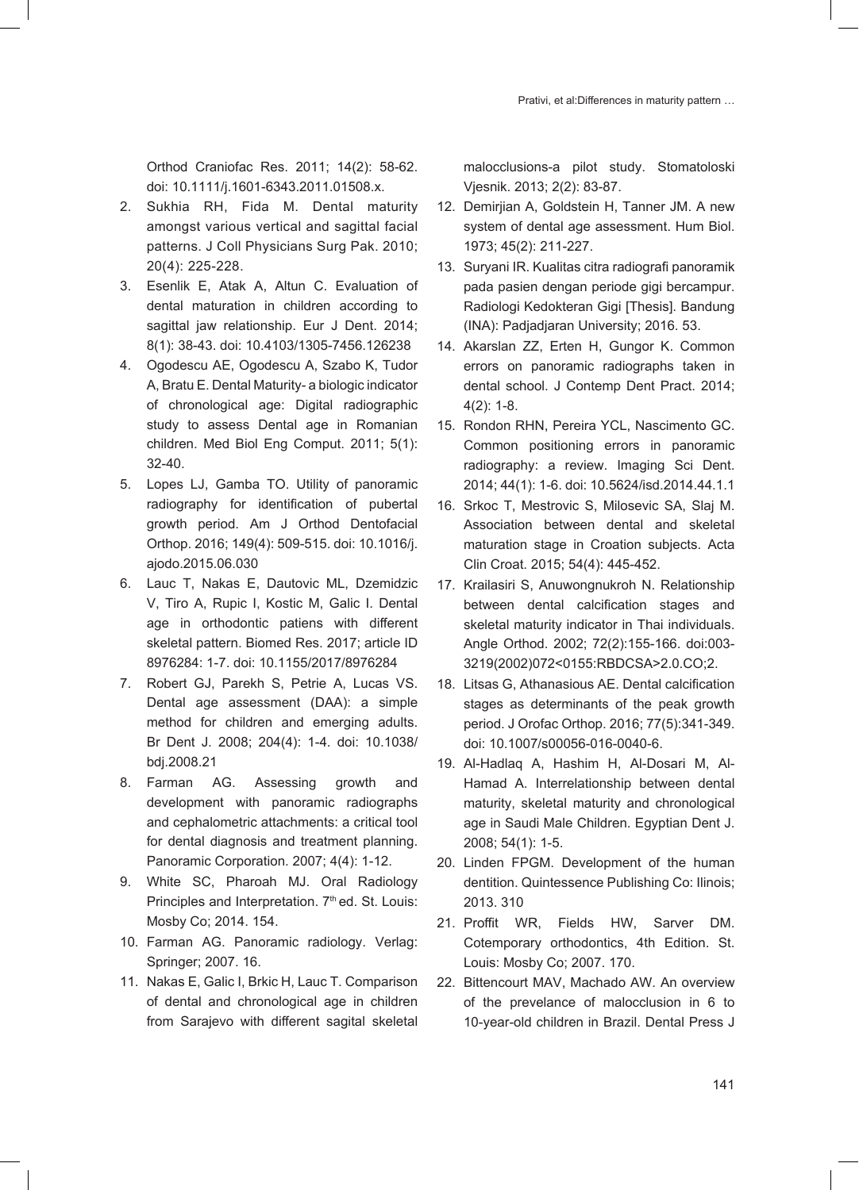Orthod Craniofac Res. 2011; 14(2): 58-62. doi: 10.1111/j.1601-6343.2011.01508.x.

- 2. Sukhia RH, Fida M. Dental maturity amongst various vertical and sagittal facial patterns. J Coll Physicians Surg Pak. 2010; 20(4): 225-228.
- 3. Esenlik E, Atak A, Altun C. Evaluation of dental maturation in children according to sagittal jaw relationship. Eur J Dent. 2014; 8(1): 38-43. doi: 10.4103/1305-7456.126238
- 4. Ogodescu AE, Ogodescu A, Szabo K, Tudor A, Bratu E. Dental Maturity- a biologic indicator of chronological age: Digital radiographic study to assess Dental age in Romanian children. Med Biol Eng Comput. 2011; 5(1): 32-40.
- 5. Lopes LJ, Gamba TO. Utility of panoramic radiography for identification of pubertal growth period. Am J Orthod Dentofacial Orthop. 2016; 149(4): 509-515. doi: 10.1016/j. ajodo.2015.06.030
- 6. Lauc T, Nakas E, Dautovic ML, Dzemidzic V, Tiro A, Rupic I, Kostic M, Galic I. Dental age in orthodontic patiens with different skeletal pattern. Biomed Res. 2017; article ID 8976284: 1-7. doi: 10.1155/2017/8976284
- 7. Robert GJ, Parekh S, Petrie A, Lucas VS. Dental age assessment (DAA): a simple method for children and emerging adults. Br Dent J. 2008; 204(4): 1-4. doi: 10.1038/ bdj.2008.21
- 8. Farman AG. Assessing growth and development with panoramic radiographs and cephalometric attachments: a critical tool for dental diagnosis and treatment planning. Panoramic Corporation. 2007; 4(4): 1-12.
- 9. White SC, Pharoah MJ. Oral Radiology Principles and Interpretation. 7<sup>th</sup> ed. St. Louis: Mosby Co; 2014. 154.
- 10. Farman AG. Panoramic radiology. Verlag: Springer; 2007. 16.
- 11. Nakas E, Galic I, Brkic H, Lauc T. Comparison of dental and chronological age in children from Sarajevo with different sagital skeletal

malocclusions-a pilot study. Stomatoloski Vjesnik. 2013; 2(2): 83-87.

- 12. Demirjian A, Goldstein H, Tanner JM. A new system of dental age assessment. Hum Biol. 1973; 45(2): 211-227.
- 13. Suryani IR. Kualitas citra radiografi panoramik pada pasien dengan periode gigi bercampur. Radiologi Kedokteran Gigi [Thesis]. Bandung (INA): Padjadjaran University; 2016. 53.
- 14. Akarslan ZZ, Erten H, Gungor K. Common errors on panoramic radiographs taken in dental school. J Contemp Dent Pract. 2014; 4(2): 1-8.
- 15. Rondon RHN, Pereira YCL, Nascimento GC. Common positioning errors in panoramic radiography: a review. Imaging Sci Dent. 2014; 44(1): 1-6. doi: 10.5624/isd.2014.44.1.1
- 16. Srkoc T, Mestrovic S, Milosevic SA, Slaj M. Association between dental and skeletal maturation stage in Croation subjects. Acta Clin Croat. 2015; 54(4): 445-452.
- 17. Krailasiri S, Anuwongnukroh N. Relationship between dental calcification stages and skeletal maturity indicator in Thai individuals. Angle Orthod. 2002; 72(2):155-166. doi:003- 3219(2002)072<0155:RBDCSA>2.0.CO;2.
- 18. Litsas G, Athanasious AE. Dental calcification stages as determinants of the peak growth period. J Orofac Orthop. 2016; 77(5):341-349. doi: 10.1007/s00056-016-0040-6.
- 19. Al-Hadlaq A, Hashim H, Al-Dosari M, Al-Hamad A. Interrelationship between dental maturity, skeletal maturity and chronological age in Saudi Male Children. Egyptian Dent J. 2008; 54(1): 1-5.
- 20. Linden FPGM. Development of the human dentition. Quintessence Publishing Co: Ilinois; 2013. 310
- 21. Proffit WR, Fields HW, Sarver DM. Cotemporary orthodontics, 4th Edition. St. Louis: Mosby Co; 2007. 170.
- 22. Bittencourt MAV, Machado AW. An overview of the prevelance of malocclusion in 6 to 10-year-old children in Brazil. Dental Press J